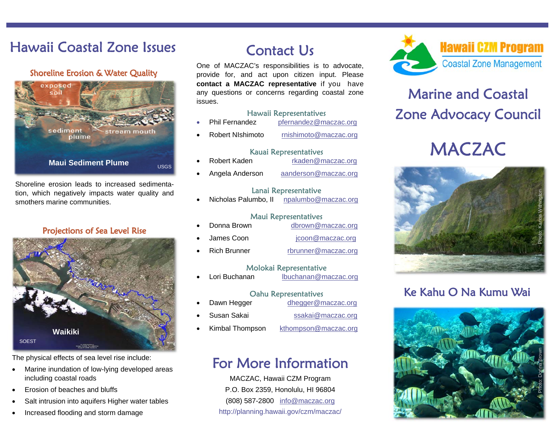## **Hawaii Coastal Zone Issues**

#### **Shoreline Erosion & Water Quality**



Shoreline erosion leads to increased sedimentation, which negatively impacts water quality and smothers marine communities.

#### **Projections of Sea Level Rise**



The physical effects of sea level rise include:

- $\bullet$  Marine inundation of low-lying developed areas including coastal roads
- $\bullet$ Erosion of beaches and bluffs
- $\bullet$ Salt intrusion into aquifers Higher water tables
- $\bullet$ Increased flooding and storm damage

## Contact Us

One of MACZAC's responsibilities is to advocate, provide for, and act upon citizen input. Please **contact a MACZAC representative** if you have any questions or concerns regarding coastal zone issues.

#### Hawaii Representatives

 $\bullet$ Phil Fernandez pfernandez@maczac.org  $\bullet$ Robert NIshimoto rnishimoto@maczac.org

#### Kauai Representatives

Robert Kaden rkaden@maczac.org

 $\bullet$ 

 $\bullet$ 

 $\bullet$ Angela Anderson aanderson@maczac.org

#### Lanai Representative

 $\bullet$ Nicholas Palumbo, II npalumbo@maczac.org

#### Maui Representatives

- $\bullet$ Donna Brown dbrown@maczac.org  $\bullet$ James Coon icoon@maczac.org
- $\bullet$ Rich Brunner rbrunner@maczac.org

#### Molokai Representative

 $\bullet$ Lori Buchanan lbuchanan@maczac.org

#### Oahu Representatives

- Dawn Hegger dhegger@maczac.org
- $\bullet$ Susan Sakai ssakai@maczac.org
- $\bullet$ Kimbal Thompson kthompson@maczac.org

## For More Information

MACZAC, Hawaii CZM Program P.O. Box 2359, Honolulu, HI 96804 (808) 587-2800 info@maczac.org http://planning.hawaii.gov/czm/maczac/



## **Marine and Coastal Zone Advocacy Council**

# **MACZAC**



### Ke Kahu O Na Kumu Wai